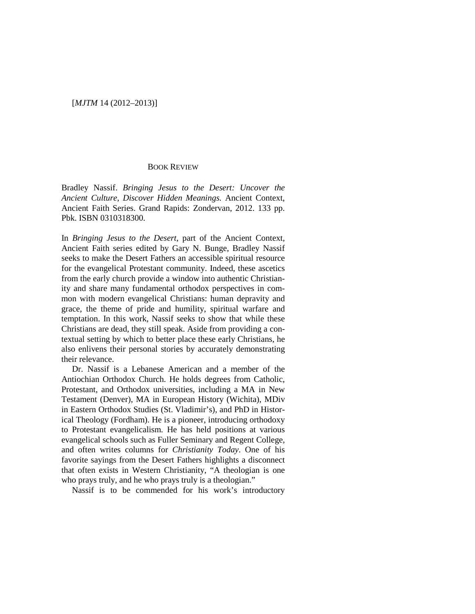## [*MJTM* 14 (2012–2013)]

## BOOK REVIEW

Bradley Nassif. *Bringing Jesus to the Desert: Uncover the Ancient Culture, Discover Hidden Meanings.* Ancient Context, Ancient Faith Series. Grand Rapids: Zondervan, 2012. 133 pp. Pbk. ISBN 0310318300.

In *Bringing Jesus to the Desert*, part of the Ancient Context, Ancient Faith series edited by Gary N. Bunge, Bradley Nassif seeks to make the Desert Fathers an accessible spiritual resource for the evangelical Protestant community. Indeed, these ascetics from the early church provide a window into authentic Christianity and share many fundamental orthodox perspectives in common with modern evangelical Christians: human depravity and grace, the theme of pride and humility, spiritual warfare and temptation. In this work, Nassif seeks to show that while these Christians are dead, they still speak. Aside from providing a contextual setting by which to better place these early Christians, he also enlivens their personal stories by accurately demonstrating their relevance.

Dr. Nassif is a Lebanese American and a member of the Antiochian Orthodox Church. He holds degrees from Catholic, Protestant, and Orthodox universities, including a MA in New Testament (Denver), MA in European History (Wichita), MDiv in Eastern Orthodox Studies (St. Vladimir's), and PhD in Historical Theology (Fordham). He is a pioneer, introducing orthodoxy to Protestant evangelicalism. He has held positions at various evangelical schools such as Fuller Seminary and Regent College, and often writes columns for *Christianity Today*. One of his favorite sayings from the Desert Fathers highlights a disconnect that often exists in Western Christianity, "A theologian is one who prays truly, and he who prays truly is a theologian."

Nassif is to be commended for his work's introductory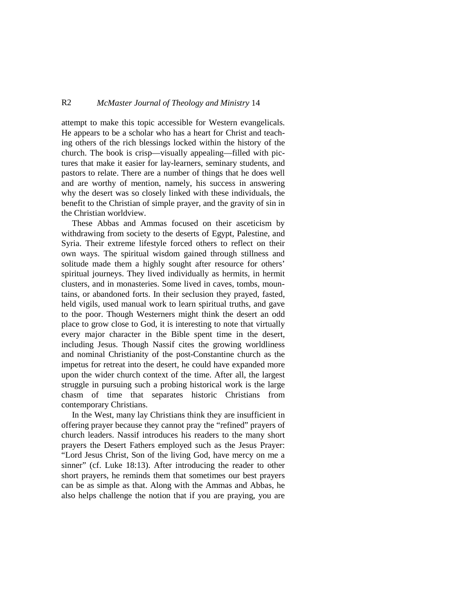## R2 *McMaster Journal of Theology and Ministry* 14

attempt to make this topic accessible for Western evangelicals. He appears to be a scholar who has a heart for Christ and teaching others of the rich blessings locked within the history of the church. The book is crisp—visually appealing—filled with pictures that make it easier for lay-learners, seminary students, and pastors to relate. There are a number of things that he does well and are worthy of mention, namely, his success in answering why the desert was so closely linked with these individuals, the benefit to the Christian of simple prayer, and the gravity of sin in the Christian worldview.

These Abbas and Ammas focused on their asceticism by withdrawing from society to the deserts of Egypt, Palestine, and Syria. Their extreme lifestyle forced others to reflect on their own ways. The spiritual wisdom gained through stillness and solitude made them a highly sought after resource for others' spiritual journeys. They lived individually as hermits, in hermit clusters, and in monasteries. Some lived in caves, tombs, mountains, or abandoned forts. In their seclusion they prayed, fasted, held vigils, used manual work to learn spiritual truths, and gave to the poor. Though Westerners might think the desert an odd place to grow close to God, it is interesting to note that virtually every major character in the Bible spent time in the desert, including Jesus. Though Nassif cites the growing worldliness and nominal Christianity of the post-Constantine church as the impetus for retreat into the desert, he could have expanded more upon the wider church context of the time. After all, the largest struggle in pursuing such a probing historical work is the large chasm of time that separates historic Christians from contemporary Christians.

In the West, many lay Christians think they are insufficient in offering prayer because they cannot pray the "refined" prayers of church leaders. Nassif introduces his readers to the many short prayers the Desert Fathers employed such as the Jesus Prayer: "Lord Jesus Christ, Son of the living God, have mercy on me a sinner" (cf. Luke 18:13). After introducing the reader to other short prayers, he reminds them that sometimes our best prayers can be as simple as that. Along with the Ammas and Abbas, he also helps challenge the notion that if you are praying, you are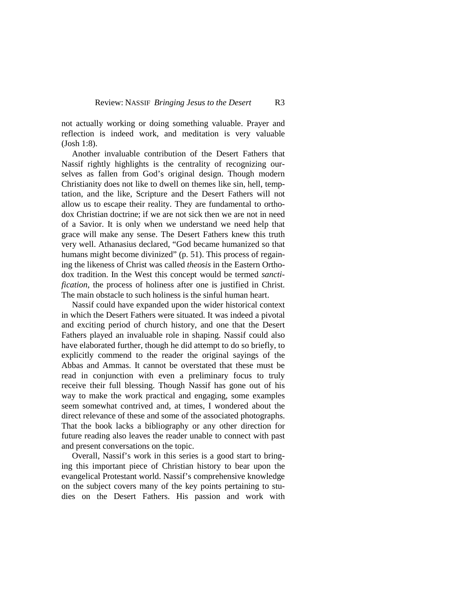not actually working or doing something valuable. Prayer and reflection is indeed work, and meditation is very valuable (Josh 1:8).

Another invaluable contribution of the Desert Fathers that Nassif rightly highlights is the centrality of recognizing ourselves as fallen from God's original design. Though modern Christianity does not like to dwell on themes like sin, hell, temptation, and the like, Scripture and the Desert Fathers will not allow us to escape their reality. They are fundamental to orthodox Christian doctrine; if we are not sick then we are not in need of a Savior. It is only when we understand we need help that grace will make any sense. The Desert Fathers knew this truth very well. Athanasius declared, "God became humanized so that humans might become divinized" (p. 51). This process of regaining the likeness of Christ was called *theosis* in the Eastern Orthodox tradition. In the West this concept would be termed *sanctification*, the process of holiness after one is justified in Christ. The main obstacle to such holiness is the sinful human heart.

Nassif could have expanded upon the wider historical context in which the Desert Fathers were situated. It was indeed a pivotal and exciting period of church history, and one that the Desert Fathers played an invaluable role in shaping. Nassif could also have elaborated further, though he did attempt to do so briefly, to explicitly commend to the reader the original sayings of the Abbas and Ammas. It cannot be overstated that these must be read in conjunction with even a preliminary focus to truly receive their full blessing. Though Nassif has gone out of his way to make the work practical and engaging, some examples seem somewhat contrived and, at times, I wondered about the direct relevance of these and some of the associated photographs. That the book lacks a bibliography or any other direction for future reading also leaves the reader unable to connect with past and present conversations on the topic.

Overall, Nassif's work in this series is a good start to bringing this important piece of Christian history to bear upon the evangelical Protestant world. Nassif's comprehensive knowledge on the subject covers many of the key points pertaining to studies on the Desert Fathers. His passion and work with